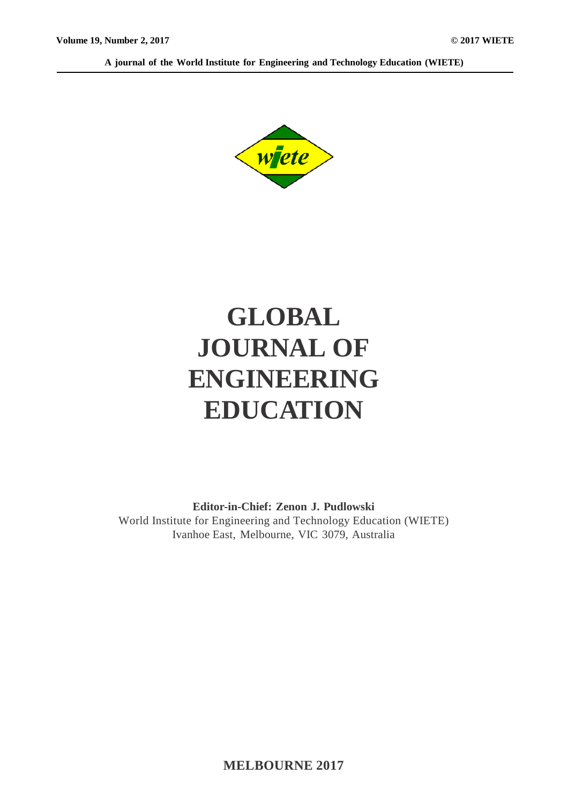**A journal of the World Institute for Engineering and Technology Education (WIETE)**



# **GLOBAL JOURNAL OF ENGINEERING EDUCATION**

**Editor-in-Chief: Zenon J. Pudlowski** World Institute for Engineering and Technology Education (WIETE) Ivanhoe East, Melbourne, VIC 3079, Australia

**MELBOURNE 2017**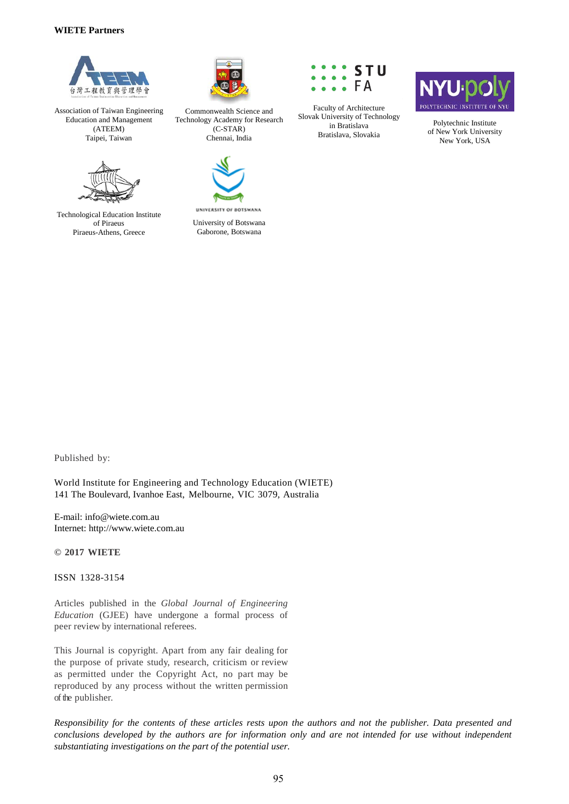#### **WIETE Partners**



Association of Taiwan Engineering Education and Management (ATEEM) Taipei, Taiwan



Technological Education Institute of Piraeus Piraeus-Athens, Greece



Commonwealth Science and Technology Academy for Research (C-STAR) Chennai, India



UNIVERSITY OF BOTSWANA University of Botswana Gaborone, Botswana



Faculty of Architecture Slovak University of Technology in Bratislava Bratislava, Slovakia



Polytechnic Institute of New York University New York, USA

Published by:

World Institute for Engineering and Technology Education (WIETE) 141 The Boulevard, Ivanhoe East, Melbourne, VIC 3079, Australia

E-mail: info@wiete.com.au Internet: http://www.wiete.com.au

**© 2017 WIETE**

ISSN 1328-3154

Articles published in the *Global Journal of Engineering Education* (GJEE) have undergone a formal process of peer review by international referees.

This Journal is copyright. Apart from any fair dealing for the purpose of private study, research, criticism or review as permitted under the Copyright Act, no part may be reproduced by any process without the written permission of the publisher.

*Responsibility for the contents of these articles rests upon the authors and not the publisher. Data presented and conclusions developed by the authors are for information only and are not intended for use without independent substantiating investigations on the part of the potential user.*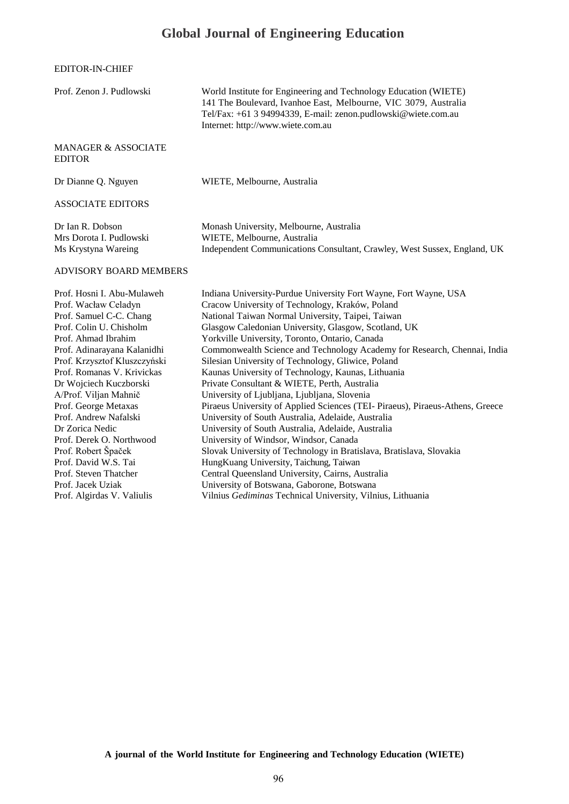### **Global Journal of Engineering Education**

EDITOR-IN-CHIEF

| Prof. Zenon J. Pudlowski                                                                                                                                                                                                                                                                                                                                                                                                                                                     | World Institute for Engineering and Technology Education (WIETE)<br>141 The Boulevard, Ivanhoe East, Melbourne, VIC 3079, Australia<br>Tel/Fax: +61 3 94994339, E-mail: zenon.pudlowski@wiete.com.au<br>Internet: http://www.wiete.com.au                                                                                                                                                                                                                                                                                                                                                                                                                                                                                                                                                                                                                                                                                                                                                                                            |
|------------------------------------------------------------------------------------------------------------------------------------------------------------------------------------------------------------------------------------------------------------------------------------------------------------------------------------------------------------------------------------------------------------------------------------------------------------------------------|--------------------------------------------------------------------------------------------------------------------------------------------------------------------------------------------------------------------------------------------------------------------------------------------------------------------------------------------------------------------------------------------------------------------------------------------------------------------------------------------------------------------------------------------------------------------------------------------------------------------------------------------------------------------------------------------------------------------------------------------------------------------------------------------------------------------------------------------------------------------------------------------------------------------------------------------------------------------------------------------------------------------------------------|
| <b>MANAGER &amp; ASSOCIATE</b><br><b>EDITOR</b>                                                                                                                                                                                                                                                                                                                                                                                                                              |                                                                                                                                                                                                                                                                                                                                                                                                                                                                                                                                                                                                                                                                                                                                                                                                                                                                                                                                                                                                                                      |
| Dr Dianne Q. Nguyen                                                                                                                                                                                                                                                                                                                                                                                                                                                          | WIETE, Melbourne, Australia                                                                                                                                                                                                                                                                                                                                                                                                                                                                                                                                                                                                                                                                                                                                                                                                                                                                                                                                                                                                          |
| <b>ASSOCIATE EDITORS</b>                                                                                                                                                                                                                                                                                                                                                                                                                                                     |                                                                                                                                                                                                                                                                                                                                                                                                                                                                                                                                                                                                                                                                                                                                                                                                                                                                                                                                                                                                                                      |
| Dr Ian R. Dobson<br>Mrs Dorota I. Pudlowski<br>Ms Krystyna Wareing                                                                                                                                                                                                                                                                                                                                                                                                           | Monash University, Melbourne, Australia<br>WIETE, Melbourne, Australia<br>Independent Communications Consultant, Crawley, West Sussex, England, UK                                                                                                                                                                                                                                                                                                                                                                                                                                                                                                                                                                                                                                                                                                                                                                                                                                                                                   |
| <b>ADVISORY BOARD MEMBERS</b>                                                                                                                                                                                                                                                                                                                                                                                                                                                |                                                                                                                                                                                                                                                                                                                                                                                                                                                                                                                                                                                                                                                                                                                                                                                                                                                                                                                                                                                                                                      |
| Prof. Hosni I. Abu-Mulaweh<br>Prof. Wacław Celadyn<br>Prof. Samuel C-C. Chang<br>Prof. Colin U. Chisholm<br>Prof. Ahmad Ibrahim<br>Prof. Adinarayana Kalanidhi<br>Prof. Krzysztof Kluszczyński<br>Prof. Romanas V. Krivickas<br>Dr Wojciech Kuczborski<br>A/Prof. Viljan Mahnič<br>Prof. George Metaxas<br>Prof. Andrew Nafalski<br>Dr Zorica Nedic<br>Prof. Derek O. Northwood<br>Prof. Robert Špaček<br>Prof. David W.S. Tai<br>Prof. Steven Thatcher<br>Prof. Jacek Uziak | Indiana University-Purdue University Fort Wayne, Fort Wayne, USA<br>Cracow University of Technology, Kraków, Poland<br>National Taiwan Normal University, Taipei, Taiwan<br>Glasgow Caledonian University, Glasgow, Scotland, UK<br>Yorkville University, Toronto, Ontario, Canada<br>Commonwealth Science and Technology Academy for Research, Chennai, India<br>Silesian University of Technology, Gliwice, Poland<br>Kaunas University of Technology, Kaunas, Lithuania<br>Private Consultant & WIETE, Perth, Australia<br>University of Ljubljana, Ljubljana, Slovenia<br>Piraeus University of Applied Sciences (TEI- Piraeus), Piraeus-Athens, Greece<br>University of South Australia, Adelaide, Australia<br>University of South Australia, Adelaide, Australia<br>University of Windsor, Windsor, Canada<br>Slovak University of Technology in Bratislava, Bratislava, Slovakia<br>HungKuang University, Taichung, Taiwan<br>Central Queensland University, Cairns, Australia<br>University of Botswana, Gaborone, Botswana |
| Prof. Algirdas V. Valiulis                                                                                                                                                                                                                                                                                                                                                                                                                                                   | Vilnius Gediminas Technical University, Vilnius, Lithuania                                                                                                                                                                                                                                                                                                                                                                                                                                                                                                                                                                                                                                                                                                                                                                                                                                                                                                                                                                           |

**A journal of the World Institute for Engineering and Technology Education (WIETE)**